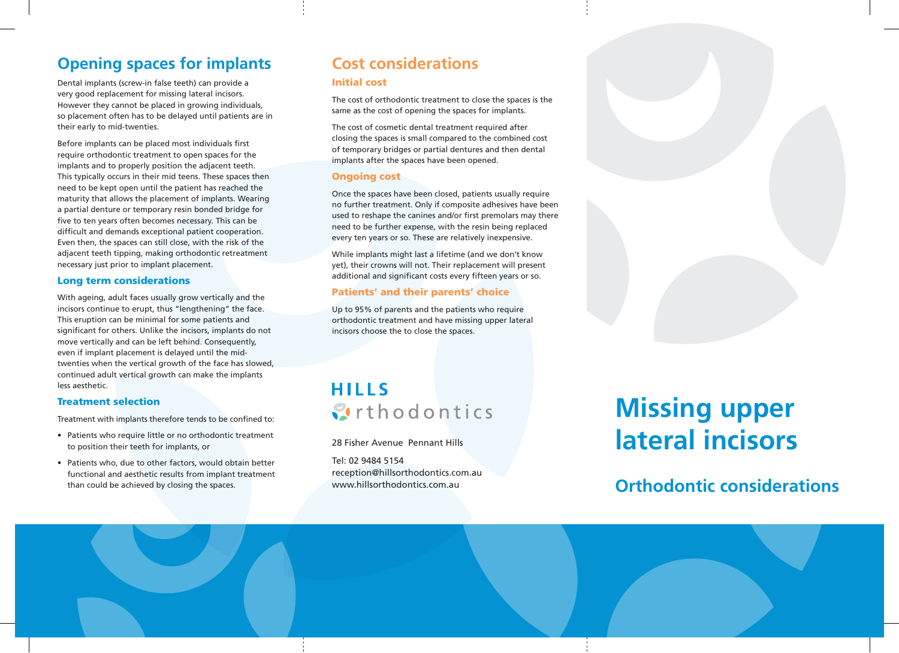# **Opening spaces for implants**

Dental implants (screw-in false teeth) can provide a very good replacement for missing lateral incisors. However they cannot be placed in growing individuals, so placement often has to be delayed until patients are in their early to mid-twenties.

Before implants can be placed most individuals first require orthodontic treatment to open spaces for the implants and to properly position the adjacent teeth. This typically occurs in their mid teens. These spaces then need to be kept open until the patient has reached the maturity that allows the placement of implants. Wearing a partial denture or temporary resin bonded bridge for five to ten years often becomes necessary. This can be difficult and demands exceptional patient cooperation. Even then, the spaces can still close, with the risk of the adjacent teeth tipping, making orthodontic retreatment necessary just prior to implant placement.

### Long term considerations

With ageing, adult faces usually grow vertically and the incisors continue to erupt, thus "lengthening" the face. This eruption can be minimal for some patients and significant for others. Unlike the incisors, implants do not move vertically and can be left behind. Consequently, even if implant placement is delayed until the midtwenties when the vertical growth of the face has slowed, continued adult vertical growth can make the implants less aesthetic.

### Treatment selection

Treatment with implants therefore tends to be confined to:

- Patients who require little or no orthodontic treatment to position their teeth for implants, or
- Patients who, due to other factors, would obtain better functional and aesthetic results from implant treatment than could be achieved by closing the spaces.

# **Cost considerations**

#### Initial cost

The cost of orthodontic treatment to close the spaces is the same as the cost of opening the spaces for implants.

The cost of cosmetic dental treatment required after closing the spaces is small compared to the combined cost of temporary bridges or partial dentures and then dental implants after the spaces have been opened.

### Ongoing cost

Once the spaces have been closed, patients usually require no further treatment. Only if composite adhesives have been used to reshape the canines and/or first premolars may there need to be further expense, with the resin being replaced every ten years or so. These are relatively inexpensive.

While implants might last a lifetime (and we don't know yet), their crowns will not. Their replacement will present additional and significant costs every fifteen years or so.

### Patients' and their parents' choice

Up to 95% of parents and the patients who require orthodontic treatment and have missing upper lateral incisors choose the to close the spaces.

# **HILLS Strthodontics**

28 Fisher Avenue Pennant Hills

Tel: 02 9484 5154 reception@hillsorthodontics.com.au www.hillsorthodontics.com.au

# **Missing upper lateral incisors**

**Orthodontic considerations**